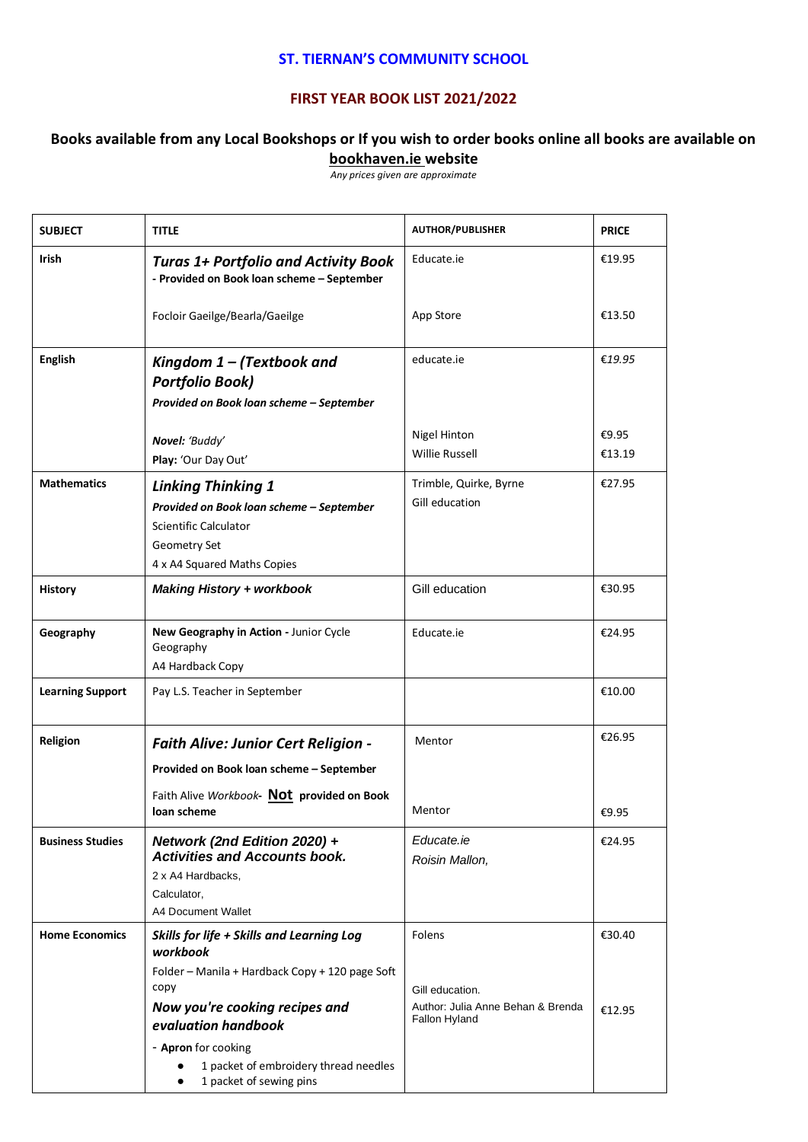## **ST. TIERNAN'S COMMUNITY SCHOOL**

## **FIRST YEAR BOOK LIST 2021/2022**

## **Books available from any Local Bookshops or If you wish to order books online all books are available on bookhaven.ie website**

*Any prices given are approximate*

| <b>SUBJECT</b>          | TITLE                                                                                                                                                                                                                                                                | <b>AUTHOR/PUBLISHER</b>                                                         | <b>PRICE</b>     |
|-------------------------|----------------------------------------------------------------------------------------------------------------------------------------------------------------------------------------------------------------------------------------------------------------------|---------------------------------------------------------------------------------|------------------|
| <b>Irish</b>            | Educate.ie<br><b>Turas 1+ Portfolio and Activity Book</b><br>- Provided on Book loan scheme - September                                                                                                                                                              |                                                                                 | €19.95           |
|                         | Focloir Gaeilge/Bearla/Gaeilge                                                                                                                                                                                                                                       | App Store                                                                       | €13.50           |
| <b>English</b>          | educate.ie<br>Kingdom $1 -$ (Textbook and<br><b>Portfolio Book)</b>                                                                                                                                                                                                  |                                                                                 | €19.95           |
|                         | Provided on Book loan scheme - September                                                                                                                                                                                                                             |                                                                                 |                  |
|                         | Novel: 'Buddy'<br>Play: 'Our Day Out'                                                                                                                                                                                                                                | Nigel Hinton<br><b>Willie Russell</b>                                           | €9.95<br>€13.19  |
| <b>Mathematics</b>      | <b>Linking Thinking 1</b><br>Provided on Book loan scheme - September<br>Scientific Calculator<br><b>Geometry Set</b><br>4 x A4 Squared Maths Copies                                                                                                                 | €27.95                                                                          |                  |
| <b>History</b>          | Gill education<br><b>Making History + workbook</b>                                                                                                                                                                                                                   |                                                                                 | €30.95           |
| Geography               | New Geography in Action - Junior Cycle<br>Educate.ie<br>Geography<br>A4 Hardback Copy                                                                                                                                                                                |                                                                                 | €24.95           |
| <b>Learning Support</b> | Pay L.S. Teacher in September                                                                                                                                                                                                                                        |                                                                                 | €10.00           |
| Religion                | <b>Faith Alive: Junior Cert Religion -</b><br>Provided on Book loan scheme - September<br>Faith Alive Workbook- Not provided on Book                                                                                                                                 | Mentor                                                                          | €26.95           |
|                         | loan scheme                                                                                                                                                                                                                                                          | Mentor                                                                          | €9.95            |
| <b>Business Studies</b> | Network (2nd Edition 2020) +<br><b>Activities and Accounts book.</b><br>2 x A4 Hardbacks,<br>Calculator,<br><b>A4 Document Wallet</b>                                                                                                                                | Educate.ie<br>Roisin Mallon,                                                    | €24.95           |
| <b>Home Economics</b>   | Skills for life + Skills and Learning Log<br>workbook<br>Folder - Manila + Hardback Copy + 120 page Soft<br>copy<br>Now you're cooking recipes and<br>evaluation handbook<br>- Apron for cooking<br>1 packet of embroidery thread needles<br>1 packet of sewing pins | Folens<br>Gill education.<br>Author: Julia Anne Behan & Brenda<br>Fallon Hyland | €30.40<br>€12.95 |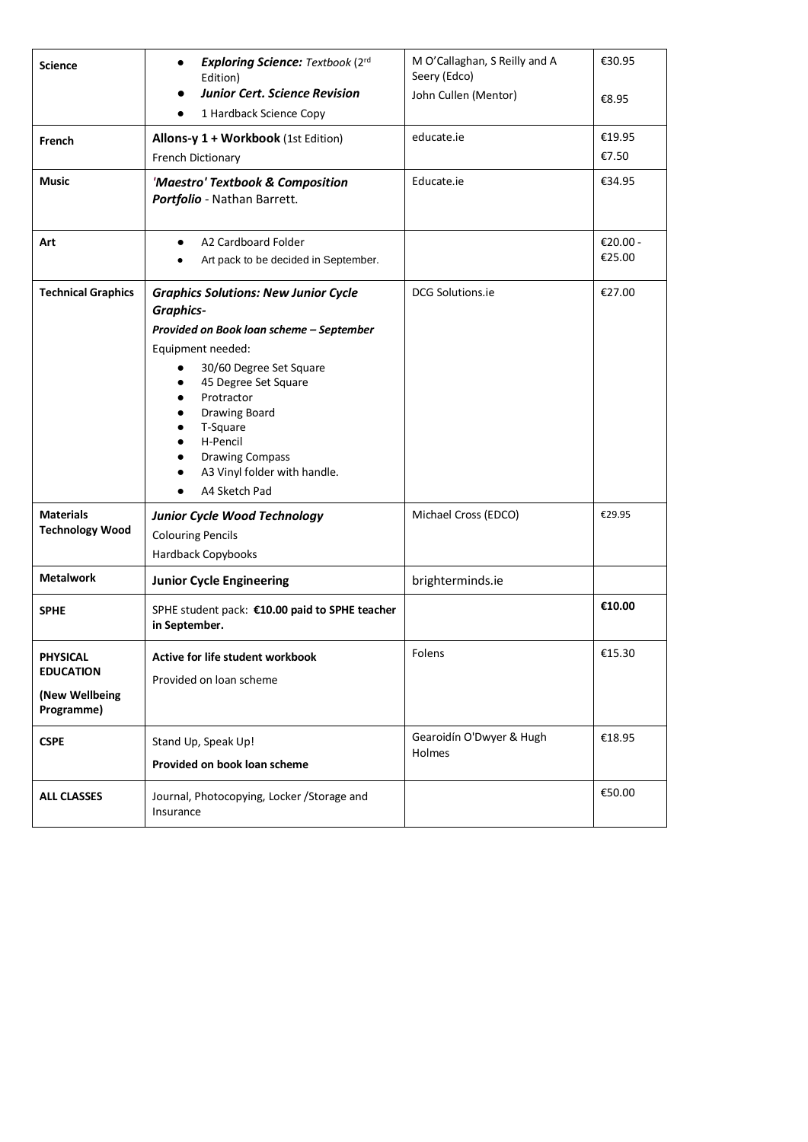| <b>Science</b>                                                      | <b>Exploring Science: Textbook (2rd)</b><br>٠<br>Edition)                                                                                                                                                                                                                                                             | M O'Callaghan, S Reilly and A<br>Seery (Edco) | €30.95             |
|---------------------------------------------------------------------|-----------------------------------------------------------------------------------------------------------------------------------------------------------------------------------------------------------------------------------------------------------------------------------------------------------------------|-----------------------------------------------|--------------------|
|                                                                     | <b>Junior Cert. Science Revision</b><br>1 Hardback Science Copy                                                                                                                                                                                                                                                       | John Cullen (Mentor)                          | €8.95              |
| French                                                              | Allons-y 1 + Workbook (1st Edition)<br>French Dictionary                                                                                                                                                                                                                                                              | educate.ie                                    | €19.95<br>€7.50    |
| <b>Music</b>                                                        | 'Maestro' Textbook & Composition<br>Portfolio - Nathan Barrett.                                                                                                                                                                                                                                                       | Educate.ie                                    | €34.95             |
| Art                                                                 | A2 Cardboard Folder<br>$\bullet$<br>Art pack to be decided in September.                                                                                                                                                                                                                                              |                                               | €20.00 -<br>€25.00 |
| <b>Technical Graphics</b>                                           | <b>Graphics Solutions: New Junior Cycle</b><br><b>Graphics-</b><br>Provided on Book loan scheme - September<br>Equipment needed:<br>30/60 Degree Set Square<br>45 Degree Set Square<br>Protractor<br>Drawing Board<br>T-Square<br>H-Pencil<br><b>Drawing Compass</b><br>A3 Vinyl folder with handle.<br>A4 Sketch Pad | DCG Solutions.ie                              | €27.00             |
| <b>Materials</b><br><b>Technology Wood</b>                          | <b>Junior Cycle Wood Technology</b><br><b>Colouring Pencils</b><br>Hardback Copybooks                                                                                                                                                                                                                                 | Michael Cross (EDCO)                          | €29.95             |
| <b>Metalwork</b>                                                    | <b>Junior Cycle Engineering</b>                                                                                                                                                                                                                                                                                       | brighterminds.ie                              |                    |
| <b>SPHE</b>                                                         | SPHE student pack: €10.00 paid to SPHE teacher<br>in September.                                                                                                                                                                                                                                                       |                                               | €10.00             |
| <b>PHYSICAL</b><br><b>EDUCATION</b><br>(New Wellbeing<br>Programme) | Active for life student workbook<br>Provided on loan scheme                                                                                                                                                                                                                                                           | Folens                                        | €15.30             |
| <b>CSPE</b>                                                         | Stand Up, Speak Up!<br>Provided on book loan scheme                                                                                                                                                                                                                                                                   | Gearoidín O'Dwyer & Hugh<br><b>Holmes</b>     | €18.95             |
| <b>ALL CLASSES</b>                                                  | Journal, Photocopying, Locker / Storage and<br>Insurance                                                                                                                                                                                                                                                              |                                               | €50.00             |